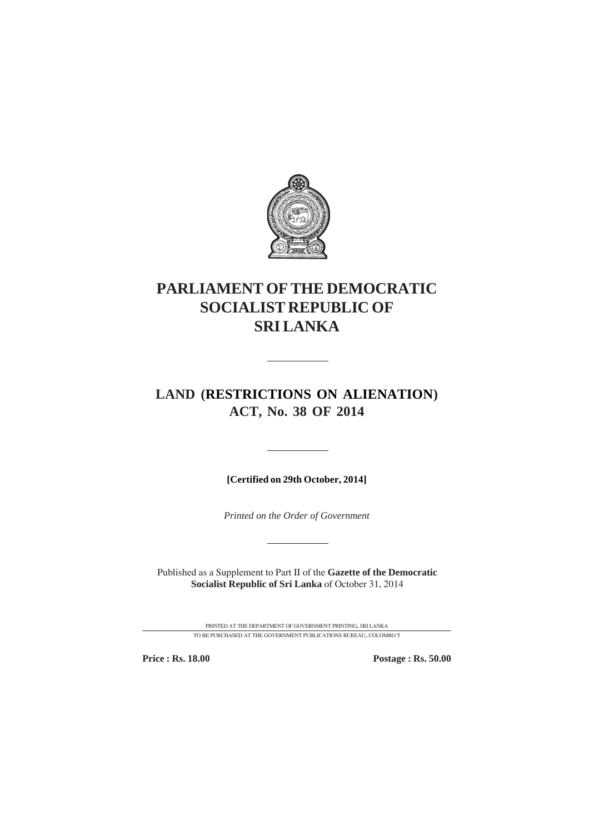

# **PARLIAMENT OF THE DEMOCRATIC SOCIALIST REPUBLIC OF SRI LANKA**

## **LAND (RESTRICTIONS ON ALIENATION) ACT, No. 38 OF 2014**

**[Certified on 29th October, 2014]**

*Printed on the Order of Government*

Published as a Supplement to Part II of the **Gazette of the Democratic Socialist Republic of Sri Lanka** of October 31, 2014

> PRINTED AT THE DEPARTMENT OF GOVERNMENT PRINTING, SRI LANKA TO BE PURCHASED AT THE GOVERNMENT PUBLICATIONS BUREAU, COLOMBO 5

**Price : Rs. 18.00 Postage : Rs. 50.00**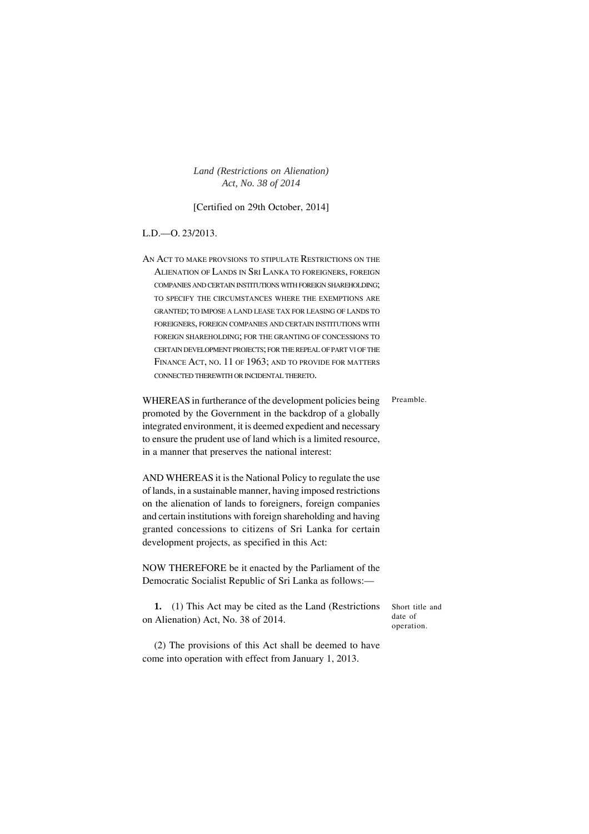[Certified on 29th October, 2014]

## L.D.—O. 23/2013.

AN ACT TO MAKE PROVSIONS TO STIPULATE RESTRICTIONS ON THE ALIENATION OF LANDS IN SRI LANKA TO FOREIGNERS, FOREIGN COMPANIES AND CERTAIN INSTITUTIONSWITH FOREIGN SHAREHOLDING; TO SPECIFY THE CIRCUMSTANCES WHERE THE EXEMPTIONS ARE GRANTED; TO IMPOSE <sup>A</sup> LAND LEASE TAX FOR LEASING OF LANDS TO FOREIGNERS, FOREIGN COMPANIES AND CERTAIN INSTITUTIONS WITH FOREIGN SHAREHOLDING; FOR THE GRANTING OF CONCESSIONS TO CERTAIN DEVELOPMENT PROJECTS; FOR THE REPEAL OF PART VI OF THE FINANCE ACT, NO. 11 OF 1963; AND TO PROVIDE FOR MATTERS CONNECTED THEREWITH OR INCIDENTAL THERETO.

WHEREAS in furtherance of the development policies being promoted by the Government in the backdrop of a globally integrated environment, it is deemed expedient and necessary to ensure the prudent use of land which is a limited resource, in a manner that preserves the national interest: Preamble.

AND WHEREAS it is the National Policy to regulate the use of lands, in a sustainable manner, having imposed restrictions on the alienation of lands to foreigners, foreign companies and certain institutions with foreign shareholding and having granted concessions to citizens of Sri Lanka for certain development projects, as specified in this Act:

NOW THEREFORE be it enacted by the Parliament of the Democratic Socialist Republic of Sri Lanka as follows:—

**1.** (1) This Act may be cited as the Land (Restrictions on Alienation) Act, No. 38 of 2014.

Short title and date of operation.

(2) The provisions of this Act shall be deemed to have come into operation with effect from January 1, 2013.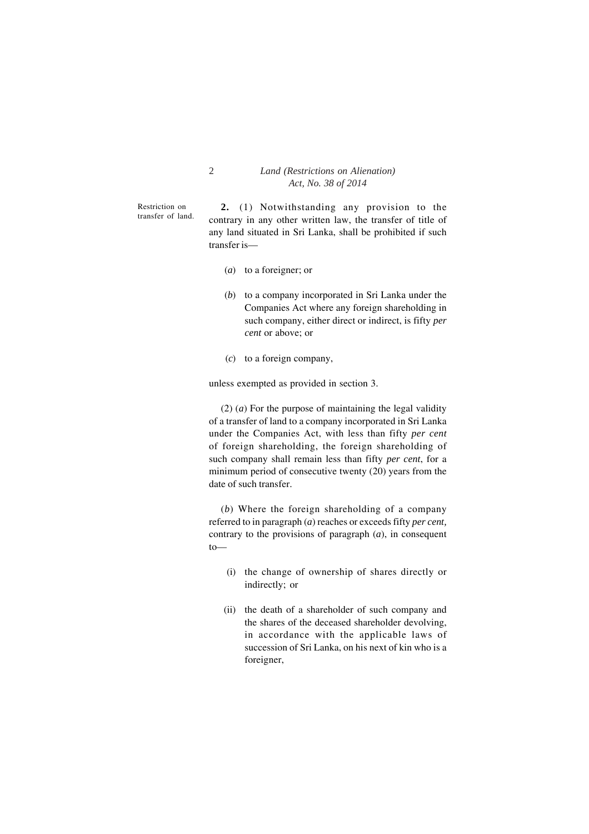Restriction on transfer of land.

**2.** (1) Notwithstanding any provision to the contrary in any other written law, the transfer of title of any land situated in Sri Lanka, shall be prohibited if such transfer is—

- (*a*) to a foreigner; or
- (*b*) to a company incorporated in Sri Lanka under the Companies Act where any foreign shareholding in such company, either direct or indirect, is fifty *per cent* or above; or
- (*c*) to a foreign company,

unless exempted as provided in section 3.

 $(2)$  (*a*) For the purpose of maintaining the legal validity of a transfer of land to a company incorporated in Sri Lanka under the Companies Act, with less than fifty *per cent* of foreign shareholding, the foreign shareholding of such company shall remain less than fifty *per cent*, for a minimum period of consecutive twenty (20) years from the date of such transfer.

(*b*) Where the foreign shareholding of a company referred to in paragraph (*a*) reaches or exceeds fifty *per cent,* contrary to the provisions of paragraph (*a*), in consequent to—

- (i) the change of ownership of shares directly or indirectly; or
- (ii) the death of a shareholder of such company and the shares of the deceased shareholder devolving, in accordance with the applicable laws of succession of Sri Lanka, on his next of kin who is a foreigner,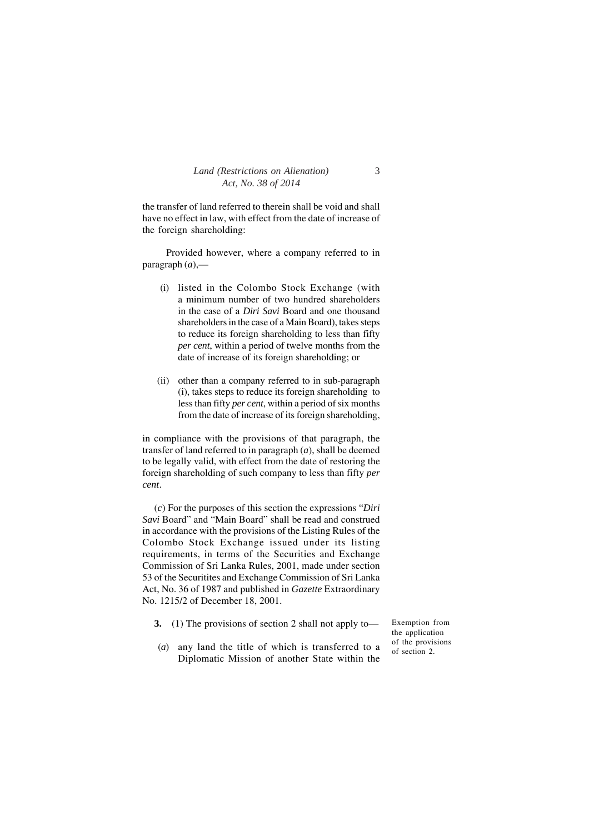the transfer of land referred to therein shall be void and shall have no effect in law, with effect from the date of increase of the foreign shareholding:

Provided however, where a company referred to in paragraph (*a*),—

- (i) listed in the Colombo Stock Exchange (with a minimum number of two hundred shareholders in the case of a *Diri Savi* Board and one thousand shareholders in the case of a Main Board), takes steps to reduce its foreign shareholding to less than fifty *per cent*, within a period of twelve months from the date of increase of its foreign shareholding; or
- (ii) other than a company referred to in sub-paragraph (i), takes steps to reduce its foreign shareholding to less than fifty *per cent*, within a period of six months from the date of increase of its foreign shareholding,

in compliance with the provisions of that paragraph, the transfer of land referred to in paragraph (*a*), shall be deemed to be legally valid, with effect from the date of restoring the foreign shareholding of such company to less than fifty *per cent*.

(*c*) For the purposes of this section the expressions "*Diri Savi* Board" and "Main Board" shall be read and construed in accordance with the provisions of the Listing Rules of the Colombo Stock Exchange issued under its listing requirements, in terms of the Securities and Exchange Commission of Sri Lanka Rules, 2001, made under section 53 of the Securitites and Exchange Commission of Sri Lanka Act, No. 36 of 1987 and published in *Gazette* Extraordinary No. 1215/2 of December 18, 2001.

**3.** (1) The provisions of section 2 shall not apply to—

Exemption from the application of the provisions of section 2.

(*a*) any land the title of which is transferred to a Diplomatic Mission of another State within the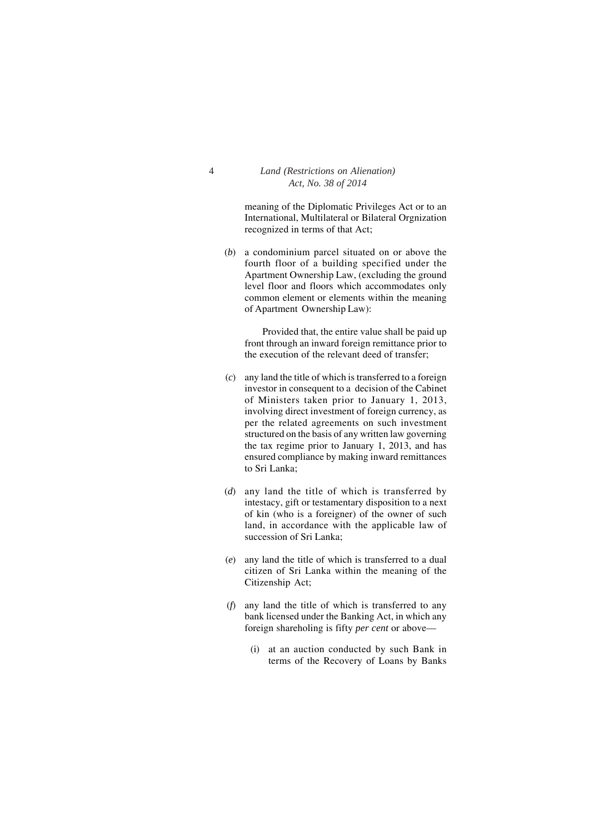meaning of the Diplomatic Privileges Act or to an International, Multilateral or Bilateral Orgnization recognized in terms of that Act;

(*b*) a condominium parcel situated on or above the fourth floor of a building specified under the Apartment Ownership Law, (excluding the ground level floor and floors which accommodates only common element or elements within the meaning of Apartment Ownership Law):

Provided that, the entire value shall be paid up front through an inward foreign remittance prior to the execution of the relevant deed of transfer;

- (*c*) any land the title of which is transferred to a foreign investor in consequent to a decision of the Cabinet of Ministers taken prior to January 1, 2013, involving direct investment of foreign currency, as per the related agreements on such investment structured on the basis of any written law governing the tax regime prior to January 1, 2013, and has ensured compliance by making inward remittances to Sri Lanka;
- (*d*) any land the title of which is transferred by intestacy, gift or testamentary disposition to a next of kin (who is a foreigner) of the owner of such land, in accordance with the applicable law of succession of Sri Lanka;
- (*e*) any land the title of which is transferred to a dual citizen of Sri Lanka within the meaning of the Citizenship Act;
- (*f*) any land the title of which is transferred to any bank licensed under the Banking Act, in which any foreign shareholing is fifty *per cent* or above—
	- (i) at an auction conducted by such Bank in terms of the Recovery of Loans by Banks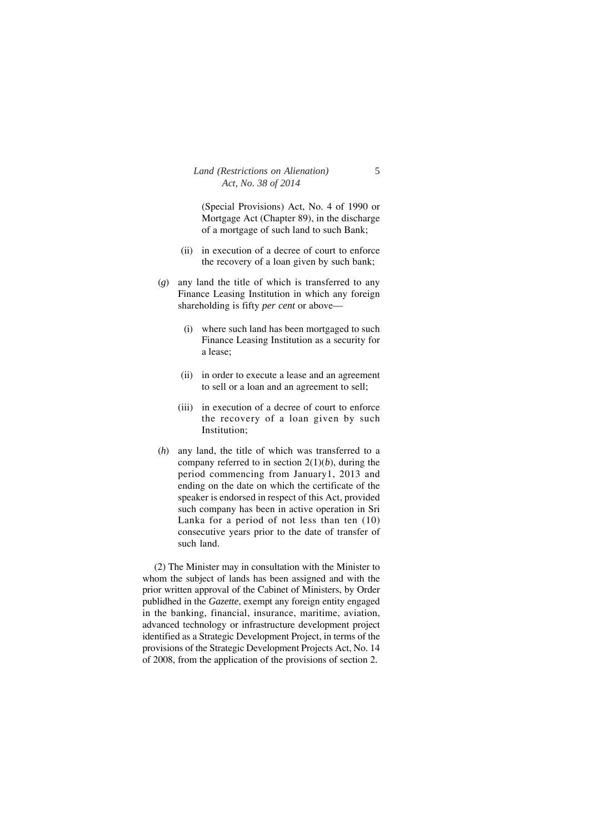(Special Provisions) Act, No. 4 of 1990 or Mortgage Act (Chapter 89), in the discharge of a mortgage of such land to such Bank;

- (ii) in execution of a decree of court to enforce the recovery of a loan given by such bank;
- (*g*) any land the title of which is transferred to any Finance Leasing Institution in which any foreign shareholding is fifty *per cent* or above—
	- (i) where such land has been mortgaged to such Finance Leasing Institution as a security for a lease;
	- (ii) in order to execute a lease and an agreement to sell or a loan and an agreement to sell;
	- (iii) in execution of a decree of court to enforce the recovery of a loan given by such Institution;
- (*h*) any land, the title of which was transferred to a company referred to in section  $2(1)(b)$ , during the period commencing from January1, 2013 and ending on the date on which the certificate of the speaker is endorsed in respect of this Act, provided such company has been in active operation in Sri Lanka for a period of not less than ten (10) consecutive years prior to the date of transfer of such land.

(2) The Minister may in consultation with the Minister to whom the subject of lands has been assigned and with the prior written approval of the Cabinet of Ministers, by Order publidhed in the *Gazette*, exempt any foreign entity engaged in the banking, financial, insurance, maritime, aviation, advanced technology or infrastructure development project identified as a Strategic Development Project, in terms of the provisions of the Strategic Development Projects Act, No. 14 of 2008, from the application of the provisions of section 2.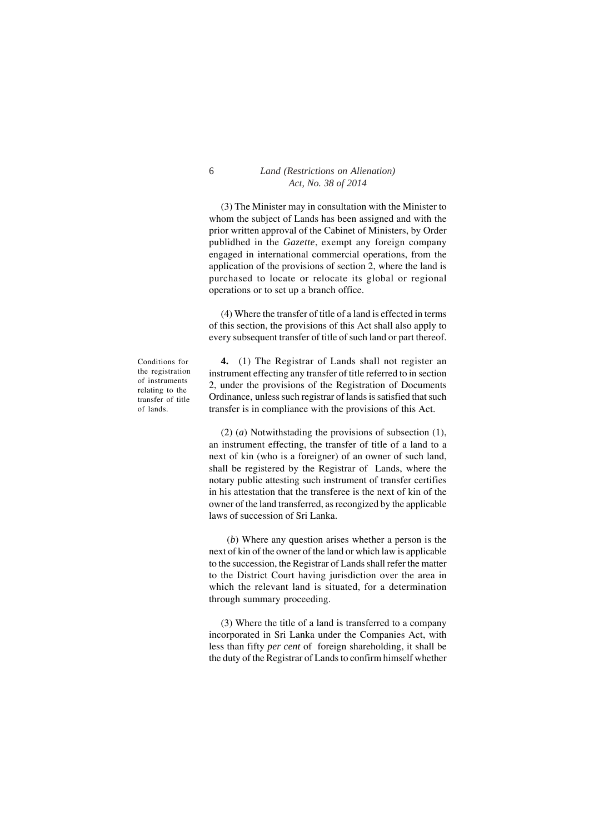(3) The Minister may in consultation with the Minister to whom the subject of Lands has been assigned and with the prior written approval of the Cabinet of Ministers, by Order publidhed in the *Gazette*, exempt any foreign company engaged in international commercial operations, from the application of the provisions of section 2, where the land is purchased to locate or relocate its global or regional operations or to set up a branch office.

(4) Where the transfer of title of a land is effected in terms of this section, the provisions of this Act shall also apply to every subsequent transfer of title of such land or part thereof.

Conditions for the registration of instruments relating to the transfer of title of lands.

**4.** (1) The Registrar of Lands shall not register an instrument effecting any transfer of title referred to in section 2, under the provisions of the Registration of Documents Ordinance, unless such registrar of lands is satisfied that such transfer is in compliance with the provisions of this Act.

(2) (*a*) Notwithstading the provisions of subsection (1), an instrument effecting, the transfer of title of a land to a next of kin (who is a foreigner) of an owner of such land, shall be registered by the Registrar of Lands, where the notary public attesting such instrument of transfer certifies in his attestation that the transferee is the next of kin of the owner of the land transferred, as recongized by the applicable laws of succession of Sri Lanka.

 (*b*) Where any question arises whether a person is the next of kin of the owner of the land or which law is applicable to the succession, the Registrar of Lands shall refer the matter to the District Court having jurisdiction over the area in which the relevant land is situated, for a determination through summary proceeding.

(3) Where the title of a land is transferred to a company incorporated in Sri Lanka under the Companies Act, with less than fifty *per cent* of foreign shareholding, it shall be the duty of the Registrar of Lands to confirm himself whether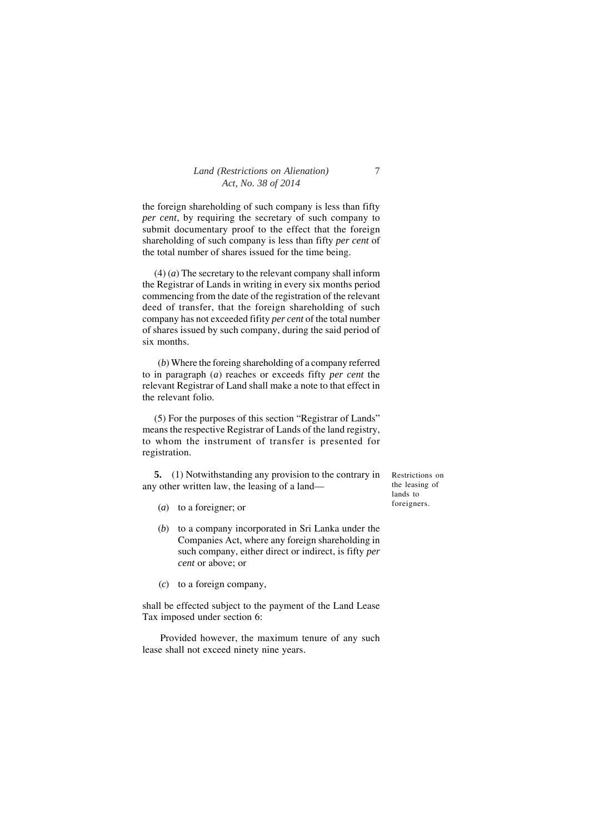the foreign shareholding of such company is less than fifty *per cent*, by requiring the secretary of such company to submit documentary proof to the effect that the foreign shareholding of such company is less than fifty *per cent* of the total number of shares issued for the time being.

(4) (*a*) The secretary to the relevant company shall inform the Registrar of Lands in writing in every six months period commencing from the date of the registration of the relevant deed of transfer, that the foreign shareholding of such company has not exceeded fifity *per cent* of the total number of shares issued by such company, during the said period of six months.

 (*b*) Where the foreing shareholding of a company referred to in paragraph (*a*) reaches or exceeds fifty *per cent* the relevant Registrar of Land shall make a note to that effect in the relevant folio.

(5) For the purposes of this section "Registrar of Lands" means the respective Registrar of Lands of the land registry, to whom the instrument of transfer is presented for registration.

**5.** (1) Notwithstanding any provision to the contrary in any other written law, the leasing of a land—

- (*a*) to a foreigner; or
- (*b*) to a company incorporated in Sri Lanka under the Companies Act, where any foreign shareholding in such company, either direct or indirect, is fifty *per cent* or above; or
- (*c*) to a foreign company,

shall be effected subject to the payment of the Land Lease Tax imposed under section 6:

Provided however, the maximum tenure of any such lease shall not exceed ninety nine years.

Restrictions on the leasing of lands to foreigners.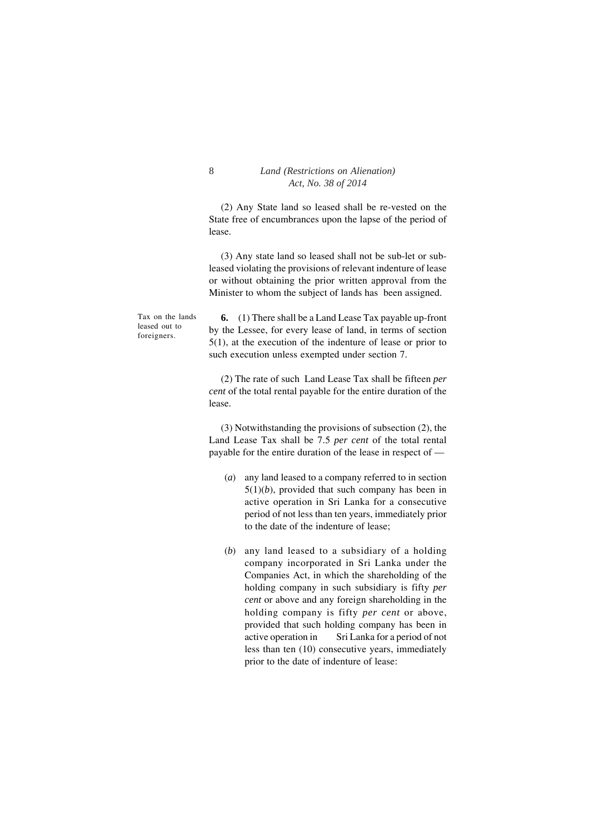(2) Any State land so leased shall be re-vested on the State free of encumbrances upon the lapse of the period of lease.

(3) Any state land so leased shall not be sub-let or subleased violating the provisions of relevant indenture of lease or without obtaining the prior written approval from the Minister to whom the subject of lands has been assigned.

Tax on the lands leased out to foreigners.

**6.** (1) There shall be a Land Lease Tax payable up-front by the Lessee, for every lease of land, in terms of section 5(1), at the execution of the indenture of lease or prior to such execution unless exempted under section 7.

(2) The rate of such Land Lease Tax shall be fifteen *per cent* of the total rental payable for the entire duration of the lease.

(3) Notwithstanding the provisions of subsection (2), the Land Lease Tax shall be 7.5 *per cent* of the total rental payable for the entire duration of the lease in respect of —

- (*a*) any land leased to a company referred to in section  $5(1)(b)$ , provided that such company has been in active operation in Sri Lanka for a consecutive period of not less than ten years, immediately prior to the date of the indenture of lease;
- (*b*) any land leased to a subsidiary of a holding company incorporated in Sri Lanka under the Companies Act, in which the shareholding of the holding company in such subsidiary is fifty *per cent* or above and any foreign shareholding in the holding company is fifty *per cent* or above, provided that such holding company has been in active operation in Sri Lanka for a period of not less than ten (10) consecutive years, immediately prior to the date of indenture of lease: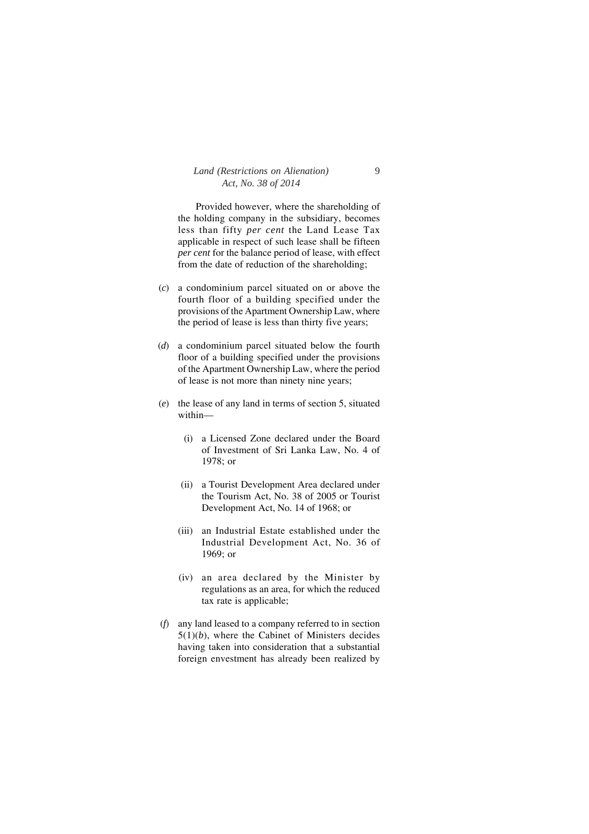Provided however, where the shareholding of the holding company in the subsidiary, becomes less than fifty *per cent* the Land Lease Tax applicable in respect of such lease shall be fifteen *per cent* for the balance period of lease, with effect from the date of reduction of the shareholding;

- (*c*) a condominium parcel situated on or above the fourth floor of a building specified under the provisions of the Apartment Ownership Law, where the period of lease is less than thirty five years;
- (*d*) a condominium parcel situated below the fourth floor of a building specified under the provisions of the Apartment Ownership Law, where the period of lease is not more than ninety nine years;
- (*e*) the lease of any land in terms of section 5, situated within—
	- (i) a Licensed Zone declared under the Board of Investment of Sri Lanka Law, No. 4 of 1978; or
	- (ii) a Tourist Development Area declared under the Tourism Act, No. 38 of 2005 or Tourist Development Act, No. 14 of 1968; or
	- (iii) an Industrial Estate established under the Industrial Development Act, No. 36 of 1969; or
	- (iv) an area declared by the Minister by regulations as an area, for which the reduced tax rate is applicable;
- (*f*) any land leased to a company referred to in section 5(1)(*b*), where the Cabinet of Ministers decides having taken into consideration that a substantial foreign envestment has already been realized by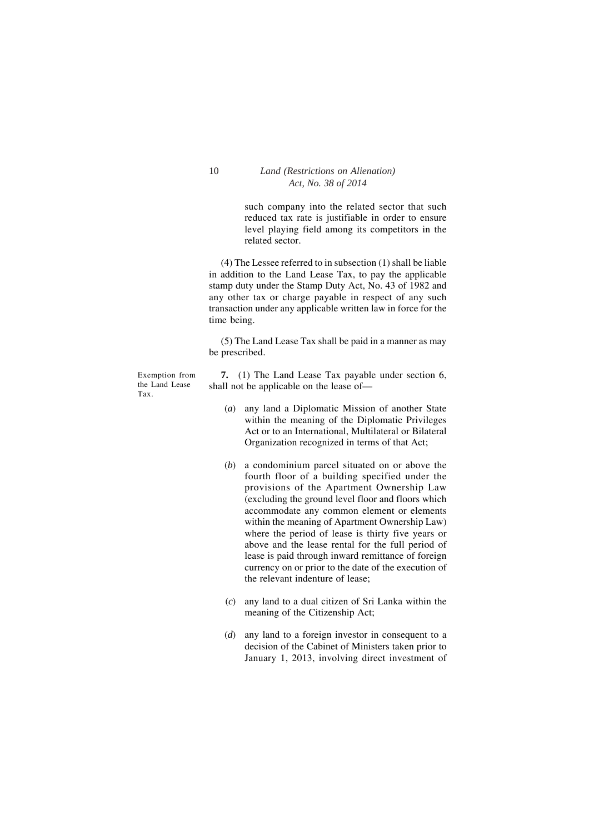such company into the related sector that such reduced tax rate is justifiable in order to ensure level playing field among its competitors in the related sector.

(4) The Lessee referred to in subsection (1) shall be liable in addition to the Land Lease Tax, to pay the applicable stamp duty under the Stamp Duty Act, No. 43 of 1982 and any other tax or charge payable in respect of any such transaction under any applicable written law in force for the time being.

(5) The Land Lease Tax shall be paid in a manner as may be prescribed.

Exemption from the Land Lease Tax.

**7.** (1) The Land Lease Tax payable under section 6, shall not be applicable on the lease of—

- (*a*) any land a Diplomatic Mission of another State within the meaning of the Diplomatic Privileges Act or to an International, Multilateral or Bilateral Organization recognized in terms of that Act;
- (*b*) a condominium parcel situated on or above the fourth floor of a building specified under the provisions of the Apartment Ownership Law (excluding the ground level floor and floors which accommodate any common element or elements within the meaning of Apartment Ownership Law) where the period of lease is thirty five years or above and the lease rental for the full period of lease is paid through inward remittance of foreign currency on or prior to the date of the execution of the relevant indenture of lease;
- (*c*) any land to a dual citizen of Sri Lanka within the meaning of the Citizenship Act;
- (*d*) any land to a foreign investor in consequent to a decision of the Cabinet of Ministers taken prior to January 1, 2013, involving direct investment of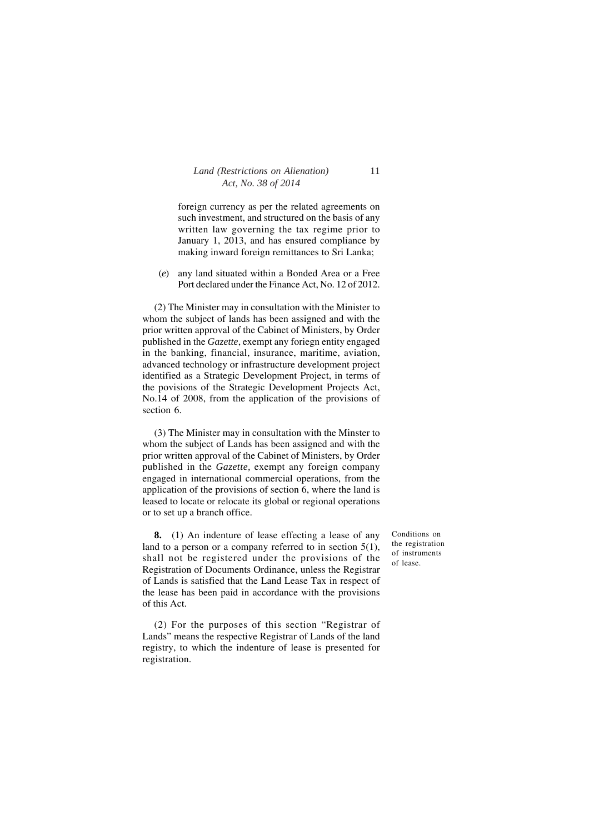foreign currency as per the related agreements on such investment, and structured on the basis of any written law governing the tax regime prior to January 1, 2013, and has ensured compliance by making inward foreign remittances to Sri Lanka;

(*e*) any land situated within a Bonded Area or a Free Port declared under the Finance Act, No. 12 of 2012.

(2) The Minister may in consultation with the Minister to whom the subject of lands has been assigned and with the prior written approval of the Cabinet of Ministers, by Order published in the *Gazette*, exempt any foriegn entity engaged in the banking, financial, insurance, maritime, aviation, advanced technology or infrastructure development project identified as a Strategic Development Project, in terms of the povisions of the Strategic Development Projects Act, No.14 of 2008, from the application of the provisions of section 6.

(3) The Minister may in consultation with the Minster to whom the subject of Lands has been assigned and with the prior written approval of the Cabinet of Ministers, by Order published in the *Gazette,* exempt any foreign company engaged in international commercial operations, from the application of the provisions of section 6, where the land is leased to locate or relocate its global or regional operations or to set up a branch office.

**8.** (1) An indenture of lease effecting a lease of any land to a person or a company referred to in section  $5(1)$ , shall not be registered under the provisions of the Registration of Documents Ordinance, unless the Registrar of Lands is satisfied that the Land Lease Tax in respect of the lease has been paid in accordance with the provisions of this Act.

(2) For the purposes of this section "Registrar of Lands" means the respective Registrar of Lands of the land registry, to which the indenture of lease is presented for registration.

Conditions on the registration of instruments of lease.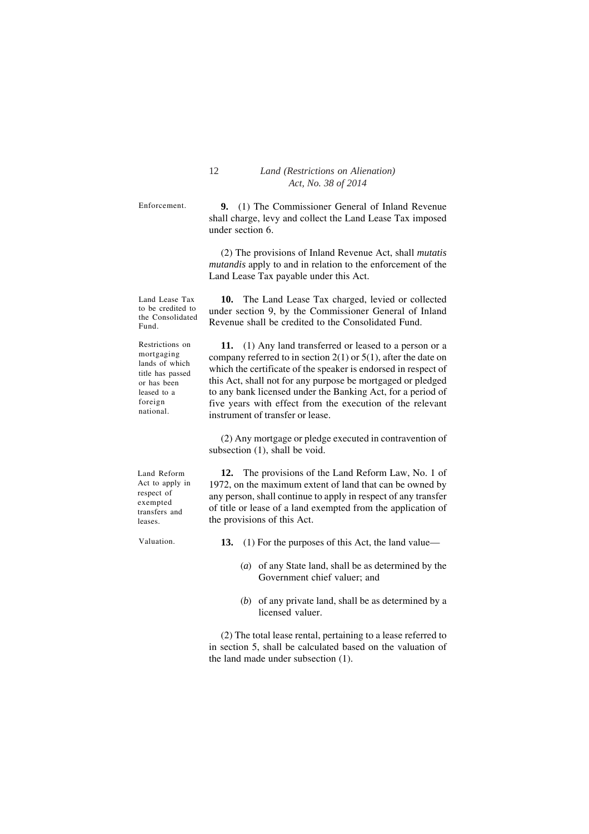Enforcement.

**9.** (1) The Commissioner General of Inland Revenue shall charge, levy and collect the Land Lease Tax imposed under section 6.

(2) The provisions of Inland Revenue Act, shall *mutatis mutandis* apply to and in relation to the enforcement of the Land Lease Tax payable under this Act.

**10.** The Land Lease Tax charged, levied or collected under section 9, by the Commissioner General of Inland Revenue shall be credited to the Consolidated Fund. **11.** (1) Any land transferred or leased to a person or a company referred to in section  $2(1)$  or  $5(1)$ , after the date on which the certificate of the speaker is endorsed in respect of Land Lease Tax to be credited to the Consolidated Fund. Restrictions on mortgaging lands of which title has passed or has been

this Act, shall not for any purpose be mortgaged or pledged to any bank licensed under the Banking Act, for a period of five years with effect from the execution of the relevant instrument of transfer or lease.

(2) Any mortgage or pledge executed in contravention of subsection (1), shall be void.

**12.** The provisions of the Land Reform Law, No. 1 of 1972, on the maximum extent of land that can be owned by any person, shall continue to apply in respect of any transfer of title or lease of a land exempted from the application of

Land Reform Act to apply in respect of exempted transfers and leases.

leased to a foreign national.

Valuation.

the provisions of this Act.

- **13.** (1) For the purposes of this Act, the land value—
	- (*a*) of any State land, shall be as determined by the Government chief valuer; and
	- (*b*) of any private land, shall be as determined by a licensed valuer.

(2) The total lease rental, pertaining to a lease referred to in section 5, shall be calculated based on the valuation of the land made under subsection (1).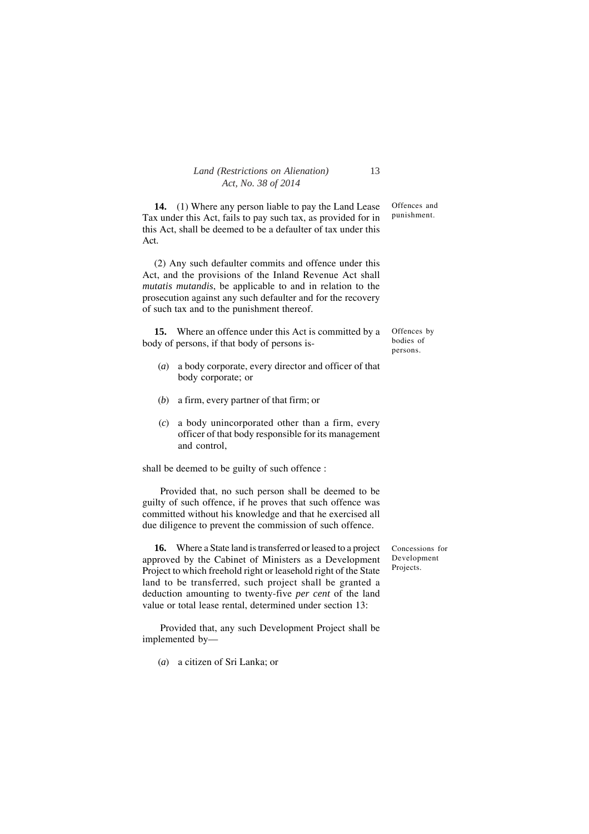**14.** (1) Where any person liable to pay the Land Lease Tax under this Act, fails to pay such tax, as provided for in this Act, shall be deemed to be a defaulter of tax under this Act.

(2) Any such defaulter commits and offence under this Act, and the provisions of the Inland Revenue Act shall *mutatis mutandis*, be applicable to and in relation to the prosecution against any such defaulter and for the recovery of such tax and to the punishment thereof.

**15.** Where an offence under this Act is committed by a body of persons, if that body of persons is-

- (*a*) a body corporate, every director and officer of that body corporate; or
- (*b*) a firm, every partner of that firm; or
- (*c*) a body unincorporated other than a firm, every officer of that body responsible for its management and control,

shall be deemed to be guilty of such offence :

Provided that, no such person shall be deemed to be guilty of such offence, if he proves that such offence was committed without his knowledge and that he exercised all due diligence to prevent the commission of such offence.

**16.** Where a State land is transferred or leased to a project approved by the Cabinet of Ministers as a Development Project to which freehold right or leasehold right of the State land to be transferred, such project shall be granted a deduction amounting to twenty-five *per cent* of the land value or total lease rental, determined under section 13:

Provided that, any such Development Project shall be implemented by—

(*a*) a citizen of Sri Lanka; or

Offences and punishment.

Offences by bodies of persons.

Concessions for Development Projects.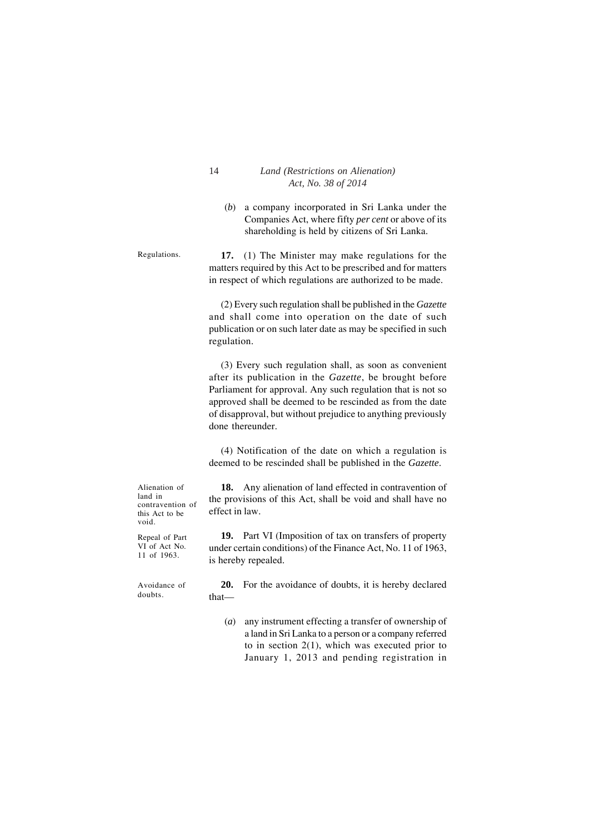(*b*) a company incorporated in Sri Lanka under the Companies Act, where fifty *per cent* or above of its shareholding is held by citizens of Sri Lanka.

Regulations.

**17.** (1) The Minister may make regulations for the matters required by this Act to be prescribed and for matters in respect of which regulations are authorized to be made.

(2) Every such regulation shall be published in the *Gazette* and shall come into operation on the date of such publication or on such later date as may be specified in such regulation.

(3) Every such regulation shall, as soon as convenient after its publication in the *Gazette*, be brought before Parliament for approval. Any such regulation that is not so approved shall be deemed to be rescinded as from the date of disapproval, but without prejudice to anything previously done thereunder.

(4) Notification of the date on which a regulation is deemed to be rescinded shall be published in the *Gazette*.

**18.** Any alienation of land effected in contravention of the provisions of this Act, shall be void and shall have no effect in law.

**19.** Part VI (Imposition of tax on transfers of property under certain conditions) of the Finance Act, No. 11 of 1963, is hereby repealed.

Avoidance of doubts.

**20.** For the avoidance of doubts, it is hereby declared that—

(*a*) any instrument effecting a transfer of ownership of a land in Sri Lanka to a person or a company referred to in section 2(1), which was executed prior to January 1, 2013 and pending registration in

Alienation of land in contravention of this Act to be void.

Repeal of Part VI of Act No. 11 of 1963.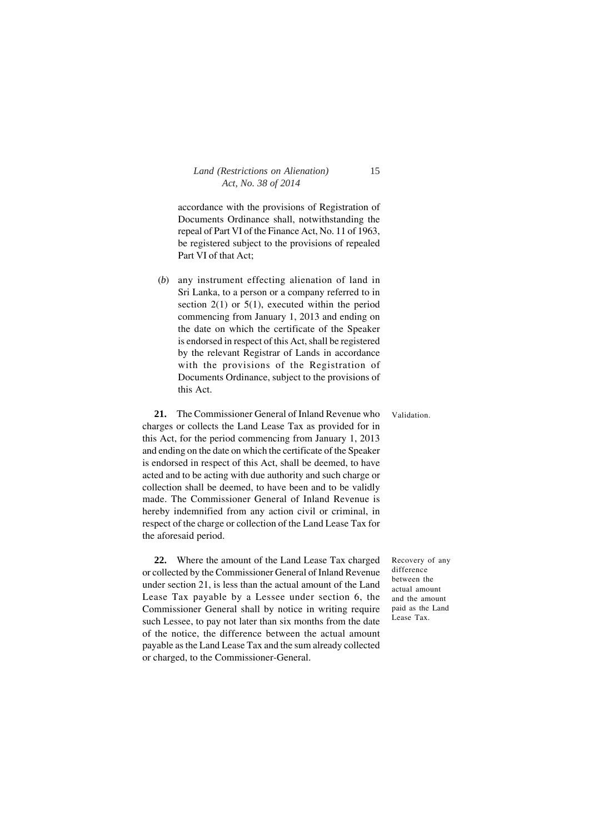accordance with the provisions of Registration of Documents Ordinance shall, notwithstanding the repeal of Part VI of the Finance Act, No. 11 of 1963, be registered subject to the provisions of repealed Part VI of that Act;

(*b*) any instrument effecting alienation of land in Sri Lanka, to a person or a company referred to in section  $2(1)$  or  $5(1)$ , executed within the period commencing from January 1, 2013 and ending on the date on which the certificate of the Speaker is endorsed in respect of this Act, shall be registered by the relevant Registrar of Lands in accordance with the provisions of the Registration of Documents Ordinance, subject to the provisions of this Act.

**21.** The Commissioner General of Inland Revenue who charges or collects the Land Lease Tax as provided for in this Act, for the period commencing from January 1, 2013 and ending on the date on which the certificate of the Speaker is endorsed in respect of this Act, shall be deemed, to have acted and to be acting with due authority and such charge or collection shall be deemed, to have been and to be validly made. The Commissioner General of Inland Revenue is hereby indemnified from any action civil or criminal, in respect of the charge or collection of the Land Lease Tax for the aforesaid period.

**22.** Where the amount of the Land Lease Tax charged or collected by the Commissioner General of Inland Revenue under section 21, is less than the actual amount of the Land Lease Tax payable by a Lessee under section 6, the Commissioner General shall by notice in writing require such Lessee, to pay not later than six months from the date of the notice, the difference between the actual amount payable as the Land Lease Tax and the sum already collected or charged, to the Commissioner-General.

Recovery of any difference between the actual amount and the amount paid as the Land Lease Tax.

Validation.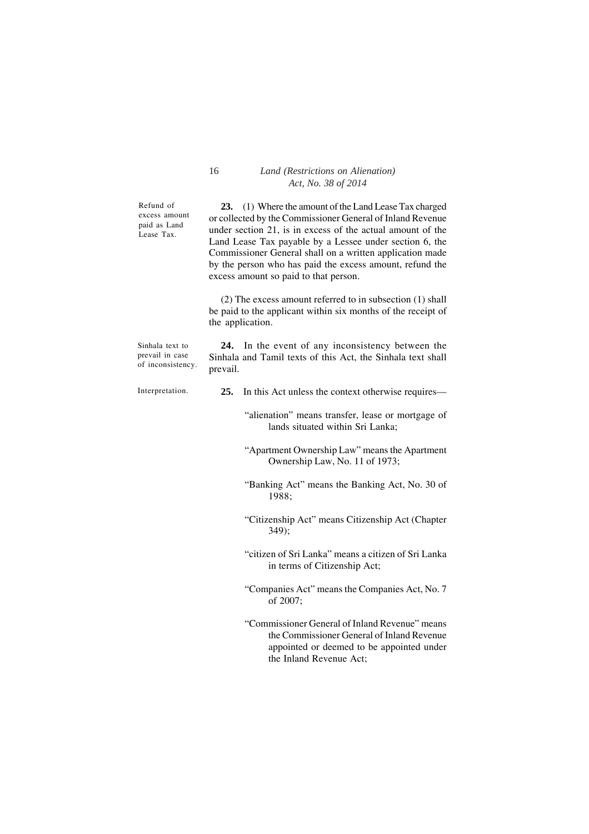Refund of excess amount paid as Land Lease Tax.

**23.** (1) Where the amount of the Land Lease Tax charged or collected by the Commissioner General of Inland Revenue under section 21, is in excess of the actual amount of the Land Lease Tax payable by a Lessee under section 6, the Commissioner General shall on a written application made by the person who has paid the excess amount, refund the excess amount so paid to that person.

(2) The excess amount referred to in subsection (1) shall be paid to the applicant within six months of the receipt of the application.

| Sinhala text to<br>prevail in case<br>of inconsistency. | prevail. | 24. In the event of any inconsistency between the<br>Sinhala and Tamil texts of this Act, the Sinhala text shall                          |
|---------------------------------------------------------|----------|-------------------------------------------------------------------------------------------------------------------------------------------|
| Interpretation.                                         | 25.      | In this Act unless the context otherwise requires—                                                                                        |
|                                                         |          | "alienation" means transfer, lease or mortgage of<br>lands situated within Sri Lanka;                                                     |
|                                                         |          | "Apartment Ownership Law" means the Apartment<br>Ownership Law, No. 11 of 1973;                                                           |
|                                                         |          | "Banking Act" means the Banking Act, No. 30 of<br>1988:                                                                                   |
|                                                         |          | "Citizenship Act" means Citizenship Act (Chapter<br>$349$ :                                                                               |
|                                                         |          | "citizen of Sri Lanka" means a citizen of Sri Lanka<br>in terms of Citizenship Act;                                                       |
|                                                         |          | "Companies Act" means the Companies Act, No. 7<br>of 2007;                                                                                |
|                                                         |          | "Commissioner General of Inland Revenue" means<br>the Commissioner General of Inland Revenue<br>appointed or deemed to be appointed under |

the Inland Revenue Act;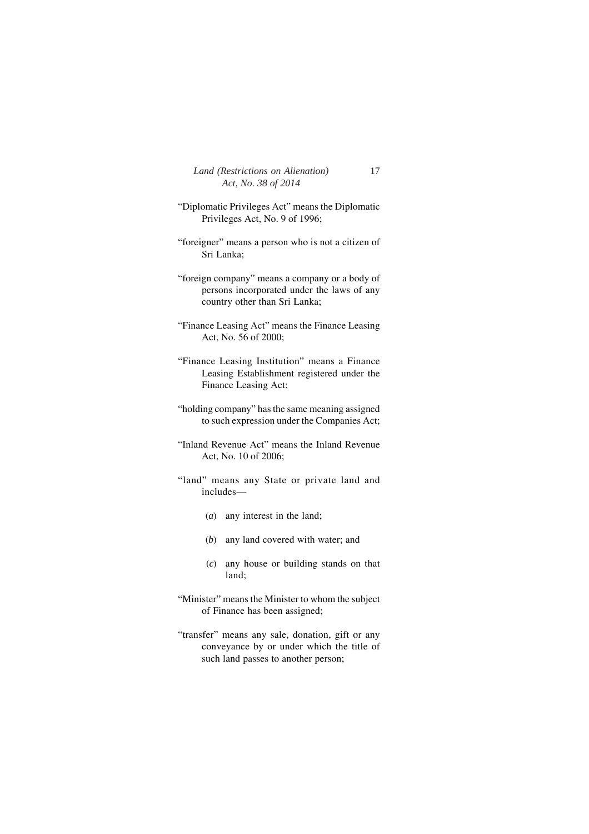| Land (Restrictions on Alienation) | 17 |
|-----------------------------------|----|
| Act, No. 38 of 2014               |    |

- "Diplomatic Privileges Act" means the Diplomatic Privileges Act, No. 9 of 1996;
- "foreigner" means a person who is not a citizen of Sri Lanka;
- "foreign company" means a company or a body of persons incorporated under the laws of any country other than Sri Lanka;
- "Finance Leasing Act" means the Finance Leasing Act, No. 56 of 2000;
- "Finance Leasing Institution" means a Finance Leasing Establishment registered under the Finance Leasing Act;
- "holding company" has the same meaning assigned to such expression under the Companies Act;
- "Inland Revenue Act" means the Inland Revenue Act, No. 10 of 2006;
- "land" means any State or private land and includes—
	- (*a*) any interest in the land;
	- (*b*) any land covered with water; and
	- (*c*) any house or building stands on that land;
- "Minister" means the Minister to whom the subject of Finance has been assigned;
- "transfer" means any sale, donation, gift or any conveyance by or under which the title of such land passes to another person;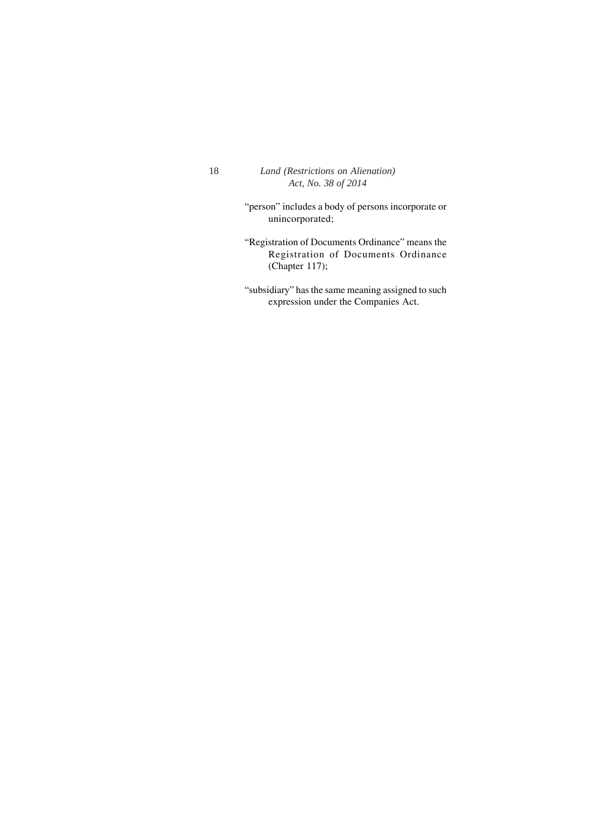"person" includes a body of persons incorporate or unincorporated;

"Registration of Documents Ordinance" means the Registration of Documents Ordinance (Chapter 117);

"subsidiary" has the same meaning assigned to such expression under the Companies Act.